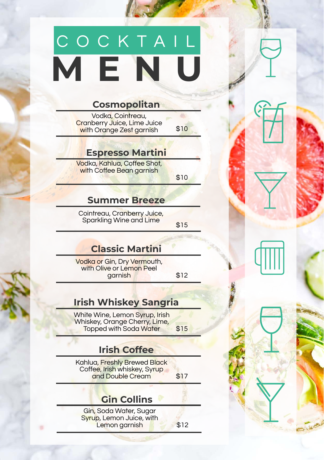## **M E N U** C O C K T A I L

Vodka, Cointreau, **Cranberry Juice, Lime Juice** with Orange Zest garnish \$10

### **Cosmopolitan**

Cointreau, Cranberry Juice, Sparkling Wine and Lime \$15

### **Espresso Martini**

Vodka or Gin, Dry Vermouth, with Olive or Lemon Peel garnish \$12

Vodka, Kahlua, Coffee Shot, with Coffee Bean garnish

Gin, Soda Water, Sugar Syrup, Lemon Juice, with Lemon garnish 12

\$10

### **Summer Breeze**

### **Classic Martini**

Kahlua, Freshly Brewed Black Coffee, Irish whiskey, Syrup and Double Cream \$17

### **Gin Collins**

### **Irish Whiskey Sangria**

White Wine, Lemon Syrup, Irish Whiskey, Orange Cherry, Lime, Topped with Soda Water \$15

### **Irish Coffee**